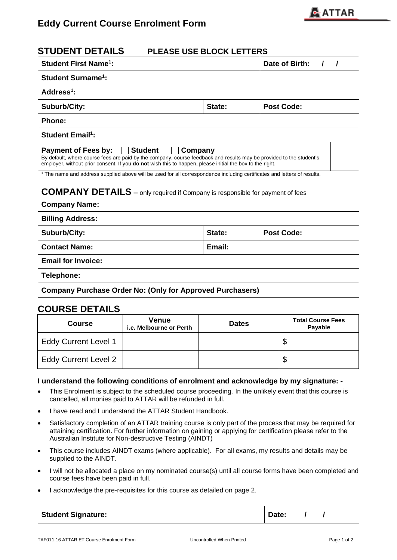

| <b>STUDENT DETAILS</b><br>PLEASE USE BLOCK LETTERS                                                                                                                                                                                                                                   |  |  |  |  |
|--------------------------------------------------------------------------------------------------------------------------------------------------------------------------------------------------------------------------------------------------------------------------------------|--|--|--|--|
| <b>Student First Name<sup>1</sup>:</b><br>Date of Birth:                                                                                                                                                                                                                             |  |  |  |  |
| <b>Student Surname<sup>1</sup>:</b>                                                                                                                                                                                                                                                  |  |  |  |  |
| Address $1$ :                                                                                                                                                                                                                                                                        |  |  |  |  |
| <b>Post Code:</b><br>Suburb/City:<br>State:                                                                                                                                                                                                                                          |  |  |  |  |
| <b>Phone:</b>                                                                                                                                                                                                                                                                        |  |  |  |  |
| <b>Student Email<sup>1</sup>:</b>                                                                                                                                                                                                                                                    |  |  |  |  |
| Payment of Fees by:   Student<br>  Company<br>By default, where course fees are paid by the company, course feedback and results may be provided to the student's<br>employer, without prior consent. If you <b>do not</b> wish this to happen, please initial the box to the right. |  |  |  |  |

**\_\_\_\_\_\_\_\_\_\_\_\_\_\_\_\_\_\_\_\_\_\_\_\_\_\_\_\_\_\_\_\_\_\_\_\_\_\_\_\_\_\_\_\_\_\_\_\_\_\_\_\_\_\_\_\_\_\_\_\_\_\_\_**

<sup>1</sup> The name and address supplied above will be used for all correspondence including certificates and letters of results.

## **COMPANY DETAILS –** only required if Company is responsible for payment of fees

| <b>Company Name:</b>                                             |        |                   |  |
|------------------------------------------------------------------|--------|-------------------|--|
| <b>Billing Address:</b>                                          |        |                   |  |
| Suburb/City:                                                     | State: | <b>Post Code:</b> |  |
| <b>Contact Name:</b>                                             | Email: |                   |  |
| <b>Email for Invoice:</b>                                        |        |                   |  |
| Telephone:                                                       |        |                   |  |
| <b>Company Purchase Order No: (Only for Approved Purchasers)</b> |        |                   |  |

# **COURSE DETAILS**

| <b>Course</b>               | Venue<br>i.e. Melbourne or Perth | <b>Dates</b> | <b>Total Course Fees</b><br>Payable |
|-----------------------------|----------------------------------|--------------|-------------------------------------|
| <b>Eddy Current Level 1</b> |                                  |              | Φ                                   |
| <b>Eddy Current Level 2</b> |                                  |              | Φ                                   |

#### **I understand the following conditions of enrolment and acknowledge by my signature: -**

- This Enrolment is subject to the scheduled course proceeding. In the unlikely event that this course is cancelled, all monies paid to ATTAR will be refunded in full.
- I have read and I understand the ATTAR Student Handbook.
- Satisfactory completion of an ATTAR training course is only part of the process that may be required for attaining certification. For further information on gaining or applying for certification please refer to the Australian Institute for Non-destructive Testing (AINDT)
- This course includes AINDT exams (where applicable). For all exams, my results and details may be supplied to the AINDT.
- I will not be allocated a place on my nominated course(s) until all course forms have been completed and course fees have been paid in full.
- I acknowledge the pre-requisites for this course as detailed on page 2.

| <b>Student Signature:</b> | Date: |  |  |
|---------------------------|-------|--|--|
|---------------------------|-------|--|--|